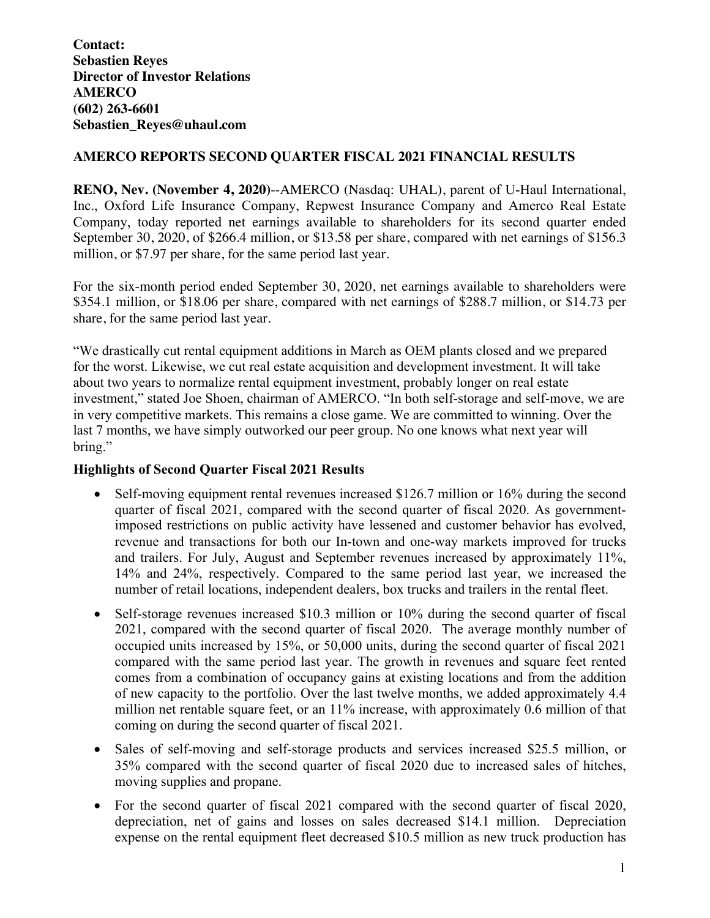**Contact: Sebastien Reyes Director of Investor Relations AMERCO (602) 263-6601 Sebastien\_Reyes@uhaul.com**

# **AMERCO REPORTS SECOND QUARTER FISCAL 2021 FINANCIAL RESULTS**

**RENO, Nev. (November 4, 2020)**--AMERCO (Nasdaq: UHAL), parent of U-Haul International, Inc., Oxford Life Insurance Company, Repwest Insurance Company and Amerco Real Estate Company, today reported net earnings available to shareholders for its second quarter ended September 30, 2020, of \$266.4 million, or \$13.58 per share, compared with net earnings of \$156.3 million, or \$7.97 per share, for the same period last year.

For the six-month period ended September 30, 2020, net earnings available to shareholders were \$354.1 million, or \$18.06 per share, compared with net earnings of \$288.7 million, or \$14.73 per share, for the same period last year.

"We drastically cut rental equipment additions in March as OEM plants closed and we prepared for the worst. Likewise, we cut real estate acquisition and development investment. It will take about two years to normalize rental equipment investment, probably longer on real estate investment," stated Joe Shoen, chairman of AMERCO. "In both self-storage and self-move, we are in very competitive markets. This remains a close game. We are committed to winning. Over the last 7 months, we have simply outworked our peer group. No one knows what next year will bring."

## **Highlights of Second Quarter Fiscal 2021 Results**

- Self-moving equipment rental revenues increased \$126.7 million or 16% during the second quarter of fiscal 2021, compared with the second quarter of fiscal 2020. As governmentimposed restrictions on public activity have lessened and customer behavior has evolved, revenue and transactions for both our In-town and one-way markets improved for trucks and trailers. For July, August and September revenues increased by approximately 11%, 14% and 24%, respectively. Compared to the same period last year, we increased the number of retail locations, independent dealers, box trucks and trailers in the rental fleet.
- Self-storage revenues increased \$10.3 million or 10% during the second quarter of fiscal 2021, compared with the second quarter of fiscal 2020. The average monthly number of occupied units increased by 15%, or 50,000 units, during the second quarter of fiscal 2021 compared with the same period last year. The growth in revenues and square feet rented comes from a combination of occupancy gains at existing locations and from the addition of new capacity to the portfolio. Over the last twelve months, we added approximately 4.4 million net rentable square feet, or an 11% increase, with approximately 0.6 million of that coming on during the second quarter of fiscal 2021.
- Sales of self-moving and self-storage products and services increased \$25.5 million, or 35% compared with the second quarter of fiscal 2020 due to increased sales of hitches, moving supplies and propane.
- For the second quarter of fiscal 2021 compared with the second quarter of fiscal 2020, depreciation, net of gains and losses on sales decreased \$14.1 million. Depreciation expense on the rental equipment fleet decreased \$10.5 million as new truck production has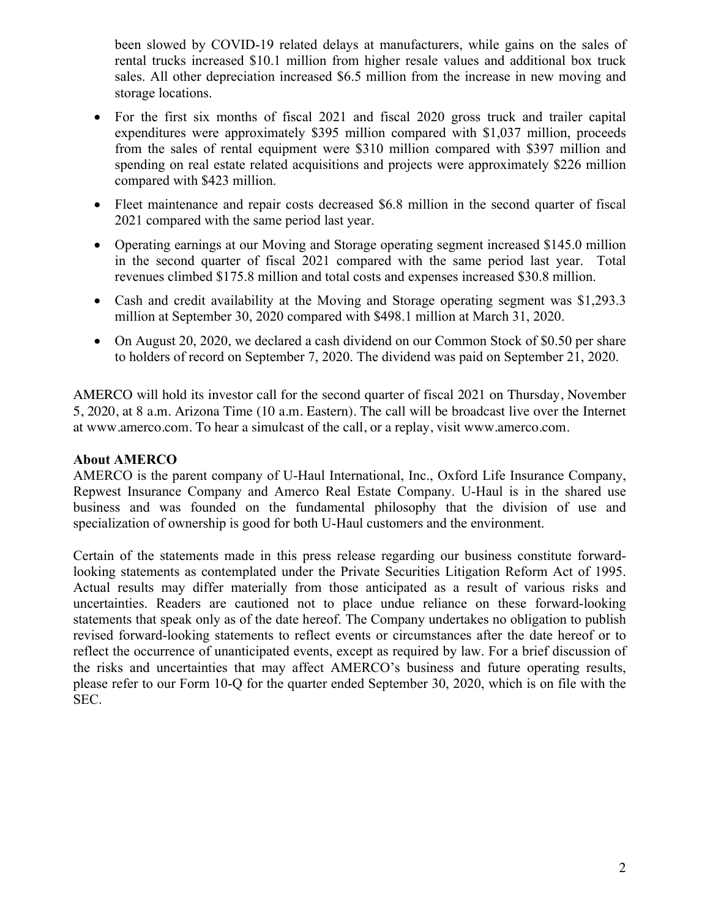been slowed by COVID-19 related delays at manufacturers, while gains on the sales of rental trucks increased \$10.1 million from higher resale values and additional box truck sales. All other depreciation increased \$6.5 million from the increase in new moving and storage locations.

- For the first six months of fiscal 2021 and fiscal 2020 gross truck and trailer capital expenditures were approximately \$395 million compared with \$1,037 million, proceeds from the sales of rental equipment were \$310 million compared with \$397 million and spending on real estate related acquisitions and projects were approximately \$226 million compared with \$423 million.
- Fleet maintenance and repair costs decreased \$6.8 million in the second quarter of fiscal 2021 compared with the same period last year.
- Operating earnings at our Moving and Storage operating segment increased \$145.0 million in the second quarter of fiscal 2021 compared with the same period last year. Total revenues climbed \$175.8 million and total costs and expenses increased \$30.8 million.
- Cash and credit availability at the Moving and Storage operating segment was \$1,293.3 million at September 30, 2020 compared with \$498.1 million at March 31, 2020.
- On August 20, 2020, we declared a cash dividend on our Common Stock of \$0.50 per share to holders of record on September 7, 2020. The dividend was paid on September 21, 2020.

AMERCO will hold its investor call for the second quarter of fiscal 2021 on Thursday, November 5, 2020, at 8 a.m. Arizona Time (10 a.m. Eastern). The call will be broadcast live over the Internet at www.amerco.com. To hear a simulcast of the call, or a replay, visit www.amerco.com.

### **About AMERCO**

AMERCO is the parent company of U-Haul International, Inc., Oxford Life Insurance Company, Repwest Insurance Company and Amerco Real Estate Company. U-Haul is in the shared use business and was founded on the fundamental philosophy that the division of use and specialization of ownership is good for both U-Haul customers and the environment.

Certain of the statements made in this press release regarding our business constitute forwardlooking statements as contemplated under the Private Securities Litigation Reform Act of 1995. Actual results may differ materially from those anticipated as a result of various risks and uncertainties. Readers are cautioned not to place undue reliance on these forward-looking statements that speak only as of the date hereof. The Company undertakes no obligation to publish revised forward-looking statements to reflect events or circumstances after the date hereof or to reflect the occurrence of unanticipated events, except as required by law. For a brief discussion of the risks and uncertainties that may affect AMERCO's business and future operating results, please refer to our Form 10-Q for the quarter ended September 30, 2020, which is on file with the SEC.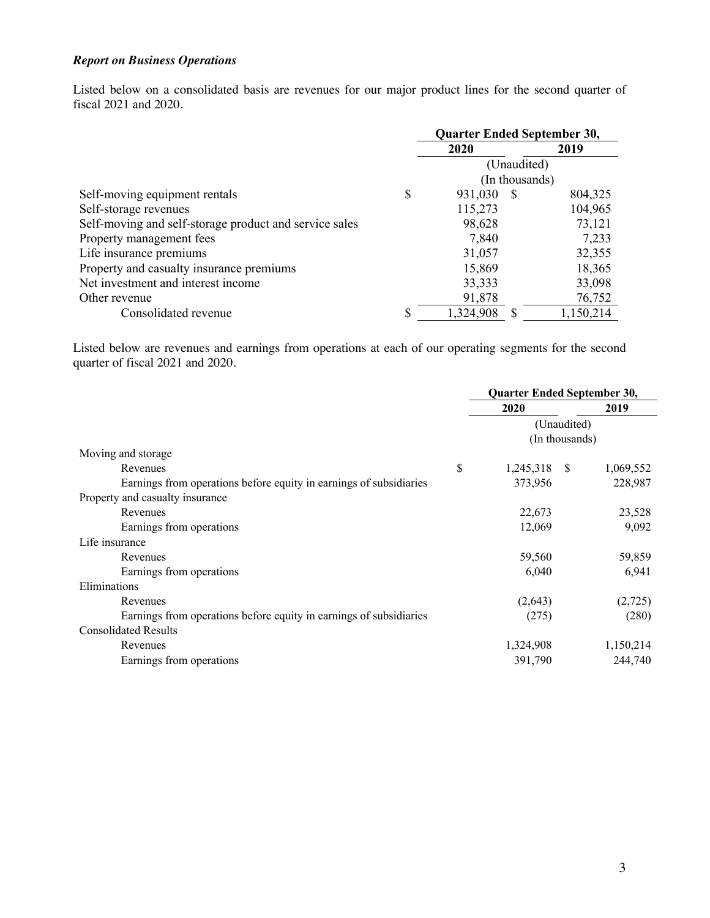## *Report on Business Operations*

Listed below on a consolidated basis are revenues for our major product lines for the second quarter of fiscal 2021 and 2020.

|                                                        | Quarter Ended September 30, |      |                |  |
|--------------------------------------------------------|-----------------------------|------|----------------|--|
|                                                        | 2020<br>2019                |      |                |  |
|                                                        | (Unaudited)                 |      |                |  |
|                                                        |                             |      | (In thousands) |  |
| Self-moving equipment rentals                          | \$<br>931,030               | - S  | 804,325        |  |
| Self-storage revenues                                  | 115,273                     |      | 104,965        |  |
| Self-moving and self-storage product and service sales | 98,628                      |      | 73,121         |  |
| Property management fees                               | 7,840                       |      | 7,233          |  |
| Life insurance premiums                                | 31,057                      |      | 32,355         |  |
| Property and casualty insurance premiums               | 15,869                      |      | 18,365         |  |
| Net investment and interest income                     | 33,333                      |      | 33,098         |  |
| Other revenue                                          | 91,878                      |      | 76,752         |  |
| Consolidated revenue                                   | \$<br>1,324,908             | - \$ | 1,150,214      |  |

Listed below are revenues and earnings from operations at each of our operating segments for the second quarter of fiscal 2021 and 2020.

|                                                                    | Quarter Ended September 30, |             |           |  |
|--------------------------------------------------------------------|-----------------------------|-------------|-----------|--|
|                                                                    | 2020                        | 2019        |           |  |
|                                                                    |                             | (Unaudited) |           |  |
|                                                                    | (In thousands)              |             |           |  |
| Moving and storage                                                 |                             |             |           |  |
| Revenues                                                           | \$<br>1,245,318 \$          |             | 1,069,552 |  |
| Earnings from operations before equity in earnings of subsidiaries | 373,956                     |             | 228,987   |  |
| Property and casualty insurance                                    |                             |             |           |  |
| Revenues                                                           | 22,673                      |             | 23,528    |  |
| Earnings from operations                                           | 12,069                      |             | 9,092     |  |
| Life insurance                                                     |                             |             |           |  |
| Revenues                                                           | 59,560                      |             | 59,859    |  |
| Earnings from operations                                           | 6,040                       |             | 6,941     |  |
| Eliminations                                                       |                             |             |           |  |
| Revenues                                                           | (2,643)                     |             | (2,725)   |  |
| Earnings from operations before equity in earnings of subsidiaries | (275)                       |             | (280)     |  |
| <b>Consolidated Results</b>                                        |                             |             |           |  |
| Revenues                                                           | 1,324,908                   |             | 1,150,214 |  |
| Earnings from operations                                           | 391,790                     |             | 244,740   |  |
|                                                                    |                             |             |           |  |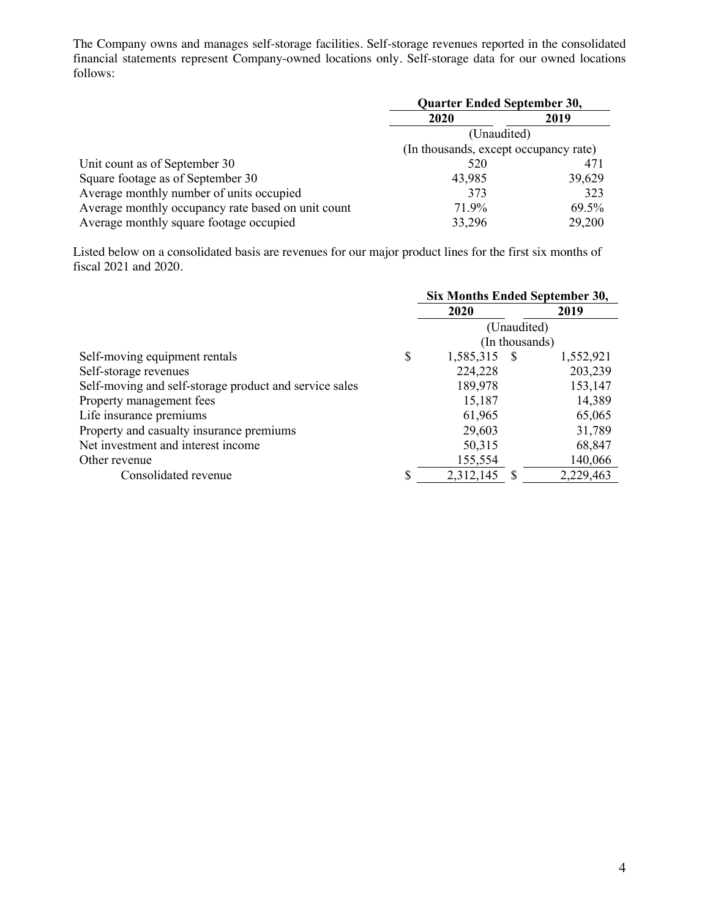The Company owns and manages self-storage facilities. Self-storage revenues reported in the consolidated financial statements represent Company-owned locations only. Self-storage data for our owned locations follows:

|                                                    | <b>Quarter Ended September 30,</b>    |        |  |  |  |
|----------------------------------------------------|---------------------------------------|--------|--|--|--|
|                                                    | 2020                                  | 2019   |  |  |  |
|                                                    | (Unaudited)                           |        |  |  |  |
|                                                    | (In thousands, except occupancy rate) |        |  |  |  |
| Unit count as of September 30                      | 520                                   | 471    |  |  |  |
| Square footage as of September 30                  | 43,985                                | 39,629 |  |  |  |
| Average monthly number of units occupied           | 373                                   | 323    |  |  |  |
| Average monthly occupancy rate based on unit count | 71.9%                                 | 69.5%  |  |  |  |
| Average monthly square footage occupied            | 33,296                                | 29,200 |  |  |  |

Listed below on a consolidated basis are revenues for our major product lines for the first six months of fiscal 2021 and 2020.

|                                                        | Six Months Ended September 30, |  |                |  |  |  |
|--------------------------------------------------------|--------------------------------|--|----------------|--|--|--|
|                                                        | 2019<br>2020                   |  |                |  |  |  |
|                                                        |                                |  | (Unaudited)    |  |  |  |
|                                                        |                                |  | (In thousands) |  |  |  |
| Self-moving equipment rentals                          | \$<br>1,585,315 \$             |  | 1,552,921      |  |  |  |
| Self-storage revenues                                  | 224,228                        |  | 203,239        |  |  |  |
| Self-moving and self-storage product and service sales | 189,978                        |  | 153,147        |  |  |  |
| Property management fees                               | 15,187                         |  | 14,389         |  |  |  |
| Life insurance premiums                                | 61,965                         |  | 65,065         |  |  |  |
| Property and casualty insurance premiums               | 29,603                         |  | 31,789         |  |  |  |
| Net investment and interest income                     | 50,315                         |  | 68,847         |  |  |  |
| Other revenue                                          | 155,554                        |  | 140,066        |  |  |  |
| Consolidated revenue                                   | \$<br>2,312,145                |  | 2,229,463      |  |  |  |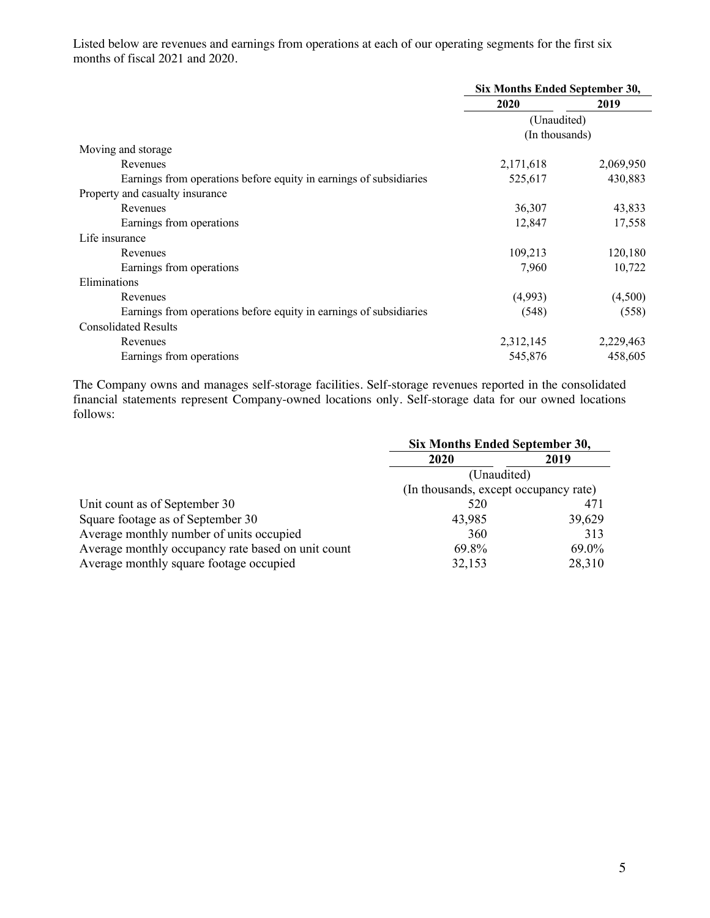Listed below are revenues and earnings from operations at each of our operating segments for the first six months of fiscal 2021 and 2020.

|                                                                    | Six Months Ended September 30, |           |  |
|--------------------------------------------------------------------|--------------------------------|-----------|--|
|                                                                    | 2020                           | 2019      |  |
|                                                                    | (Unaudited)                    |           |  |
|                                                                    | (In thousands)                 |           |  |
| Moving and storage                                                 |                                |           |  |
| Revenues                                                           | 2,171,618                      | 2,069,950 |  |
| Earnings from operations before equity in earnings of subsidiaries | 525,617                        | 430,883   |  |
| Property and casualty insurance                                    |                                |           |  |
| Revenues                                                           | 36,307                         | 43,833    |  |
| Earnings from operations                                           | 12,847                         | 17,558    |  |
| Life insurance                                                     |                                |           |  |
| Revenues                                                           | 109,213                        | 120,180   |  |
| Earnings from operations                                           | 7,960                          | 10,722    |  |
| Eliminations                                                       |                                |           |  |
| Revenues                                                           | (4,993)                        | (4,500)   |  |
| Earnings from operations before equity in earnings of subsidiaries | (548)                          | (558)     |  |
| <b>Consolidated Results</b>                                        |                                |           |  |
| Revenues                                                           | 2,312,145                      | 2,229,463 |  |
| Earnings from operations                                           | 545,876                        | 458,605   |  |

The Company owns and manages self-storage facilities. Self-storage revenues reported in the consolidated financial statements represent Company-owned locations only. Self-storage data for our owned locations follows:

|                                                    | Six Months Ended September 30,        |        |  |  |  |
|----------------------------------------------------|---------------------------------------|--------|--|--|--|
|                                                    | 2020<br>2019                          |        |  |  |  |
|                                                    | (Unaudited)                           |        |  |  |  |
|                                                    | (In thousands, except occupancy rate) |        |  |  |  |
| Unit count as of September 30                      | 520                                   | 471    |  |  |  |
| Square footage as of September 30                  | 43,985                                | 39,629 |  |  |  |
| Average monthly number of units occupied           | 360                                   | 313    |  |  |  |
| Average monthly occupancy rate based on unit count | 69.8%                                 | 69.0%  |  |  |  |
| Average monthly square footage occupied            | 32,153                                | 28,310 |  |  |  |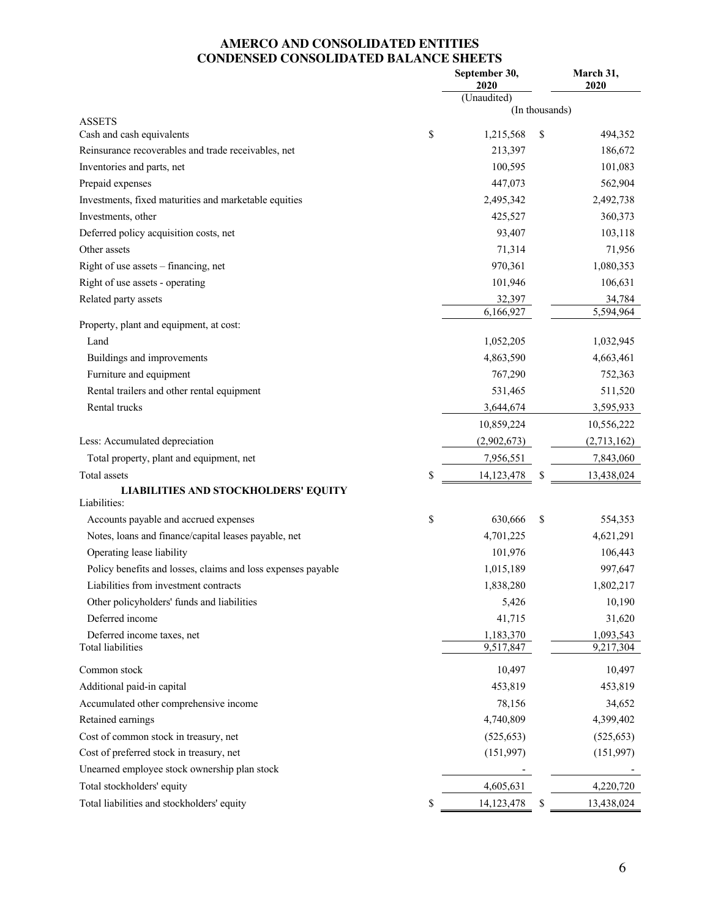## **AMERCO AND CONSOLIDATED ENTITIES CONDENSED CONSOLIDATED BALANCE SHEETS**

|                                                              | September 30,<br>2020 |                | March 31,<br>2020 |
|--------------------------------------------------------------|-----------------------|----------------|-------------------|
|                                                              | (Unaudited)           |                |                   |
|                                                              |                       | (In thousands) |                   |
| <b>ASSETS</b><br>Cash and cash equivalents                   | \$<br>1,215,568       | \$             | 494,352           |
| Reinsurance recoverables and trade receivables, net          | 213,397               |                | 186,672           |
| Inventories and parts, net                                   | 100,595               |                | 101,083           |
| Prepaid expenses                                             | 447,073               |                | 562,904           |
| Investments, fixed maturities and marketable equities        | 2,495,342             |                | 2,492,738         |
| Investments, other                                           | 425,527               |                | 360,373           |
| Deferred policy acquisition costs, net                       | 93,407                |                | 103,118           |
| Other assets                                                 | 71,314                |                | 71,956            |
| Right of use assets - financing, net                         | 970,361               |                | 1,080,353         |
| Right of use assets - operating                              | 101,946               |                | 106,631           |
| Related party assets                                         | 32,397                |                | 34,784            |
|                                                              | 6,166,927             |                | 5,594,964         |
| Property, plant and equipment, at cost:                      |                       |                |                   |
| Land                                                         | 1,052,205             |                | 1,032,945         |
| Buildings and improvements                                   | 4,863,590             |                | 4,663,461         |
| Furniture and equipment                                      | 767,290               |                | 752,363           |
| Rental trailers and other rental equipment                   | 531,465               |                | 511,520           |
| Rental trucks                                                | 3,644,674             |                | 3,595,933         |
|                                                              | 10,859,224            |                | 10,556,222        |
| Less: Accumulated depreciation                               | (2,902,673)           |                | (2,713,162)       |
| Total property, plant and equipment, net                     | 7,956,551             |                | 7,843,060         |
| Total assets                                                 | \$<br>14,123,478      | \$             | 13,438,024        |
| <b>LIABILITIES AND STOCKHOLDERS' EQUITY</b>                  |                       |                |                   |
| Liabilities:                                                 |                       |                |                   |
| Accounts payable and accrued expenses                        | \$<br>630,666         | \$             | 554,353           |
| Notes, loans and finance/capital leases payable, net         | 4,701,225             |                | 4,621,291         |
| Operating lease liability                                    | 101,976               |                | 106,443           |
| Policy benefits and losses, claims and loss expenses payable | 1,015,189             |                | 997,647           |
| Liabilities from investment contracts                        | 1,838,280             |                | 1,802,217         |
| Other policyholders' funds and liabilities                   | 5,426                 |                | 10,190            |
| Deferred income                                              | 41,715                |                | 31,620            |
| Deferred income taxes, net                                   | 1,183,370             |                | 1,093,543         |
| <b>Total liabilities</b>                                     | 9,517,847             |                | 9,217,304         |
| Common stock                                                 | 10,497                |                | 10,497            |
| Additional paid-in capital                                   | 453,819               |                | 453,819           |
| Accumulated other comprehensive income                       | 78,156                |                | 34,652            |
| Retained earnings                                            | 4,740,809             |                | 4,399,402         |
| Cost of common stock in treasury, net                        | (525, 653)            |                | (525, 653)        |
| Cost of preferred stock in treasury, net                     | (151,997)             |                | (151,997)         |
| Unearned employee stock ownership plan stock                 |                       |                |                   |
| Total stockholders' equity                                   | 4,605,631             |                | 4,220,720         |
| Total liabilities and stockholders' equity                   | \$<br>14,123,478      | \$             | 13,438,024        |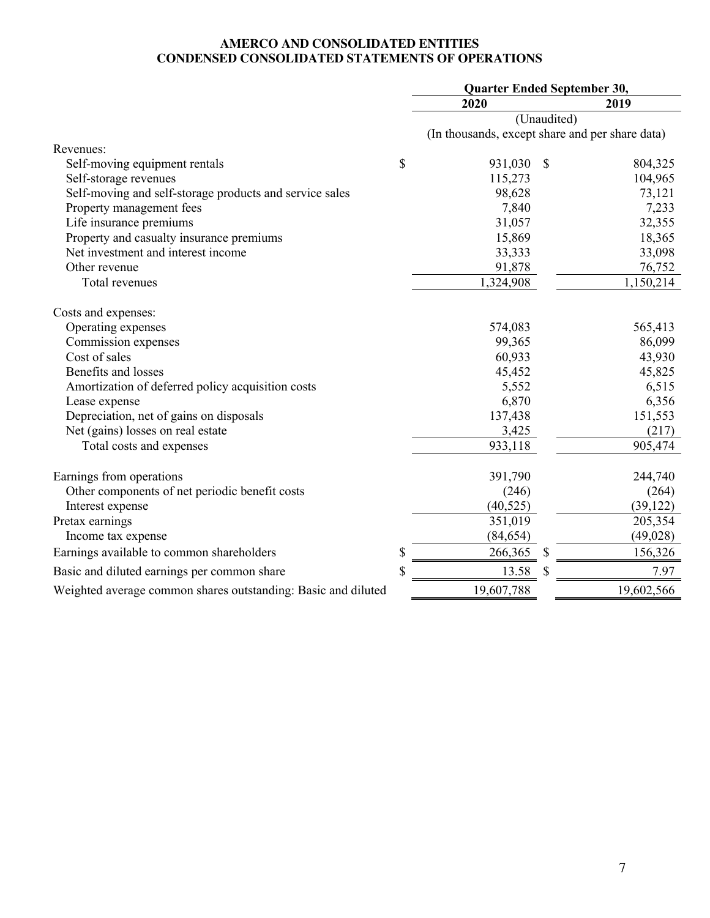#### **AMERCO AND CONSOLIDATED ENTITIES CONDENSED CONSOLIDATED STATEMENTS OF OPERATIONS**

|                                                               |             | Quarter Ended September 30,                     |               |             |  |  |
|---------------------------------------------------------------|-------------|-------------------------------------------------|---------------|-------------|--|--|
|                                                               |             | 2020                                            |               | 2019        |  |  |
|                                                               |             |                                                 |               | (Unaudited) |  |  |
|                                                               |             | (In thousands, except share and per share data) |               |             |  |  |
| Revenues:                                                     |             |                                                 |               |             |  |  |
| Self-moving equipment rentals                                 | \$          | 931,030                                         | $\mathcal{S}$ | 804,325     |  |  |
| Self-storage revenues                                         |             | 115,273                                         |               | 104,965     |  |  |
| Self-moving and self-storage products and service sales       |             | 98,628                                          |               | 73,121      |  |  |
| Property management fees                                      |             | 7,840                                           |               | 7,233       |  |  |
| Life insurance premiums                                       |             | 31,057                                          |               | 32,355      |  |  |
| Property and casualty insurance premiums                      |             | 15,869                                          |               | 18,365      |  |  |
| Net investment and interest income                            |             | 33,333                                          |               | 33,098      |  |  |
| Other revenue                                                 |             | 91,878                                          |               | 76,752      |  |  |
| Total revenues                                                |             | 1,324,908                                       |               | 1,150,214   |  |  |
| Costs and expenses:                                           |             |                                                 |               |             |  |  |
| Operating expenses                                            |             | 574,083                                         |               | 565,413     |  |  |
| Commission expenses                                           |             | 99,365                                          |               | 86,099      |  |  |
| Cost of sales                                                 |             | 60,933                                          |               | 43,930      |  |  |
| Benefits and losses                                           |             | 45,452                                          |               | 45,825      |  |  |
| Amortization of deferred policy acquisition costs             |             | 5,552                                           |               | 6,515       |  |  |
| Lease expense                                                 |             | 6,870                                           |               | 6,356       |  |  |
| Depreciation, net of gains on disposals                       |             | 137,438                                         |               | 151,553     |  |  |
| Net (gains) losses on real estate                             |             | 3,425                                           |               | (217)       |  |  |
| Total costs and expenses                                      |             | 933,118                                         |               | 905,474     |  |  |
| Earnings from operations                                      |             | 391,790                                         |               | 244,740     |  |  |
| Other components of net periodic benefit costs                |             | (246)                                           |               | (264)       |  |  |
| Interest expense                                              |             | (40, 525)                                       |               | (39, 122)   |  |  |
| Pretax earnings                                               |             | 351,019                                         |               | 205,354     |  |  |
| Income tax expense                                            |             | (84, 654)                                       |               | (49, 028)   |  |  |
| Earnings available to common shareholders                     | \$          | 266,365                                         | \$            | 156,326     |  |  |
| Basic and diluted earnings per common share                   | $\mathbf S$ | 13.58                                           | $\mathcal{S}$ | 7.97        |  |  |
| Weighted average common shares outstanding: Basic and diluted |             | 19,607,788                                      |               | 19,602,566  |  |  |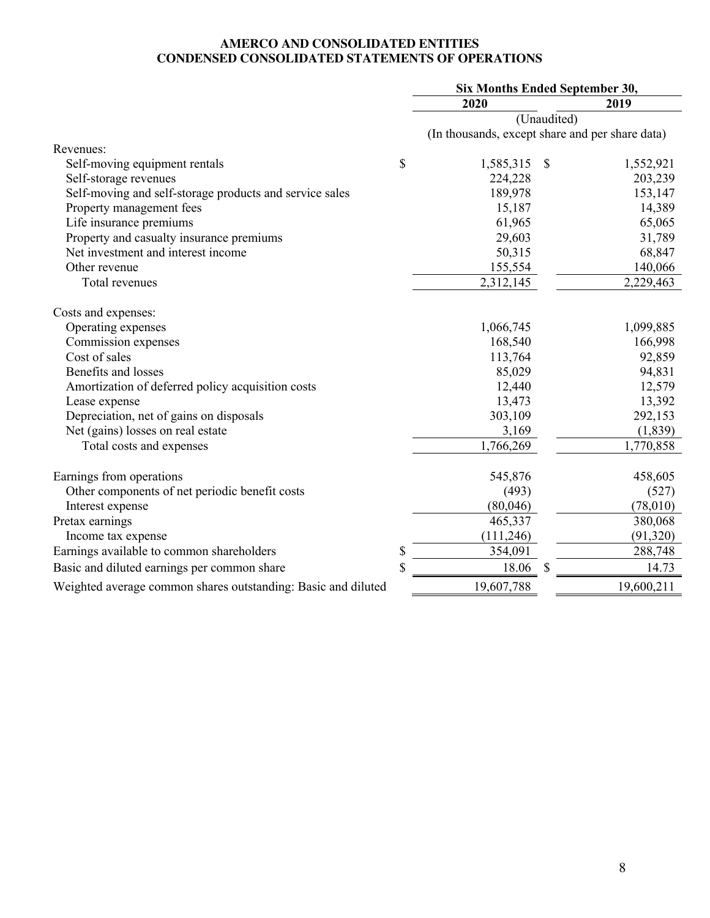#### **AMERCO AND CONSOLIDATED ENTITIES CONDENSED CONSOLIDATED STATEMENTS OF OPERATIONS**

|                                                               | Six Months Ended September 30, |                           |                                                 |  |  |
|---------------------------------------------------------------|--------------------------------|---------------------------|-------------------------------------------------|--|--|
|                                                               | 2020                           | 2019                      |                                                 |  |  |
|                                                               |                                |                           | (Unaudited)                                     |  |  |
|                                                               |                                |                           | (In thousands, except share and per share data) |  |  |
| Revenues:                                                     |                                |                           |                                                 |  |  |
| Self-moving equipment rentals                                 | \$<br>1,585,315                | $\boldsymbol{\mathsf{S}}$ | 1,552,921                                       |  |  |
| Self-storage revenues                                         | 224,228                        |                           | 203,239                                         |  |  |
| Self-moving and self-storage products and service sales       | 189,978                        |                           | 153,147                                         |  |  |
| Property management fees                                      | 15,187                         |                           | 14,389                                          |  |  |
| Life insurance premiums                                       | 61,965                         |                           | 65,065                                          |  |  |
| Property and casualty insurance premiums                      | 29,603                         |                           | 31,789                                          |  |  |
| Net investment and interest income                            | 50,315                         |                           | 68,847                                          |  |  |
| Other revenue                                                 | 155,554                        |                           | 140,066                                         |  |  |
| Total revenues                                                | 2,312,145                      |                           | 2,229,463                                       |  |  |
| Costs and expenses:                                           |                                |                           |                                                 |  |  |
| Operating expenses                                            | 1,066,745                      |                           | 1,099,885                                       |  |  |
| Commission expenses                                           | 168,540                        |                           | 166,998                                         |  |  |
| Cost of sales                                                 | 113,764                        |                           | 92,859                                          |  |  |
| Benefits and losses                                           | 85,029                         |                           | 94,831                                          |  |  |
| Amortization of deferred policy acquisition costs             | 12,440                         |                           | 12,579                                          |  |  |
| Lease expense                                                 | 13,473                         |                           | 13,392                                          |  |  |
| Depreciation, net of gains on disposals                       | 303,109                        |                           | 292,153                                         |  |  |
| Net (gains) losses on real estate                             | 3,169                          |                           | (1,839)                                         |  |  |
| Total costs and expenses                                      | 1,766,269                      |                           | 1,770,858                                       |  |  |
| Earnings from operations                                      | 545,876                        |                           | 458,605                                         |  |  |
| Other components of net periodic benefit costs                | (493)                          |                           | (527)                                           |  |  |
| Interest expense                                              | (80,046)                       |                           | (78,010)                                        |  |  |
| Pretax earnings                                               | 465,337                        |                           | 380,068                                         |  |  |
| Income tax expense                                            | (111, 246)                     |                           | (91, 320)                                       |  |  |
| Earnings available to common shareholders                     | \$<br>354,091                  |                           | 288,748                                         |  |  |
| Basic and diluted earnings per common share                   | \$<br>18.06                    | \$                        | 14.73                                           |  |  |
| Weighted average common shares outstanding: Basic and diluted | 19,607,788                     |                           | 19,600,211                                      |  |  |